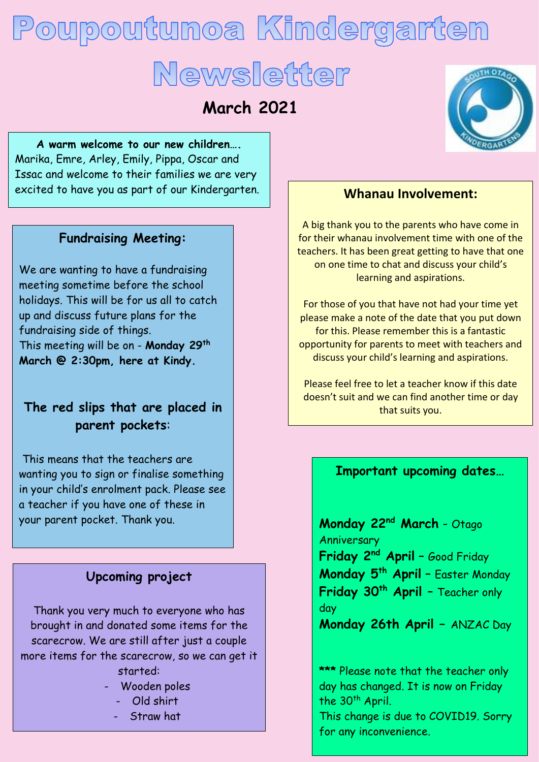# Poupoutunoa Kindergarten Newsletter

**March 2021**

**A warm welcome to our new children….** Marika, Emre, Arley, Emily, Pippa, Oscar and Issac and welcome to their families we are very excited to have you as part of our Kindergarten.

#### **Fundraising Meeting:**

We are wanting to have a fundraising meeting sometime before the school holidays. This will be for us all to catch up and discuss future plans for the fundraising side of things. This meeting will be on - **Monday 29th March @ 2:30pm, here at Kindy.** 

# **The red slips that are placed in parent pockets**:

This means that the teachers are wanting you to sign or finalise something in your child's enrolment pack. Please see a teacher if you have one of these in your parent pocket. Thank you.

## **Upcoming project**

Thank you very much to everyone who has brought in and donated some items for the scarecrow. We are still after just a couple more items for the scarecrow, so we can get it started:

- Wooden poles
	- Old shirt
	- Straw hat



#### **Whanau Involvement:**

A big thank you to the parents who have come in for their whanau involvement time with one of the teachers. It has been great getting to have that one on one time to chat and discuss your child's learning and aspirations.

For those of you that have not had your time yet please make a note of the date that you put down for this. Please remember this is a fantastic opportunity for parents to meet with teachers and discuss your child's learning and aspirations.

Please feel free to let a teacher know if this date doesn't suit and we can find another time or day that suits you.

#### **Important upcoming dates…**

**Monday 22nd March** - Otago Anniversary **Friday 2nd April** – Good Friday **Monday 5th April** – Easter Monday **Friday 30th April** – Teacher only day

**Monday 26th April –** ANZAC Day

**\*\*\*** Please note that the teacher only day has changed. It is now on Friday the 30<sup>th</sup> April.

This change is due to COVID19. Sorry for any inconvenience.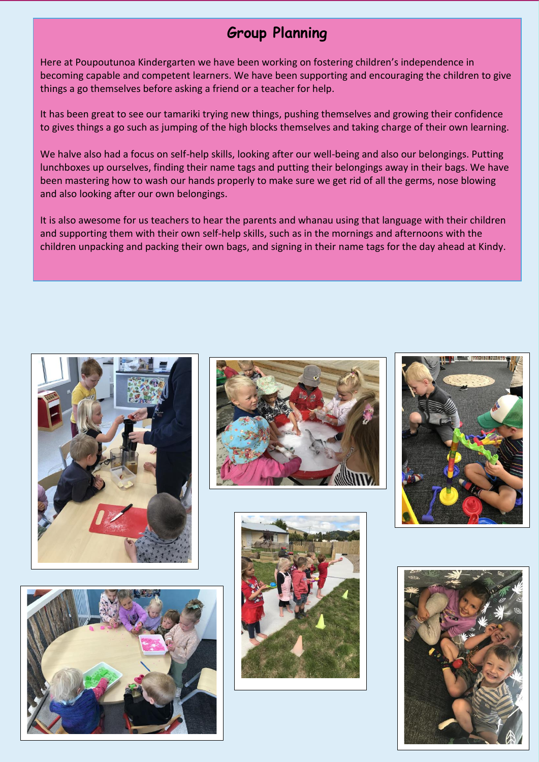# **Group Planning**

Here at Poupoutunoa Kindergarten we have been working on fostering children's independence in becoming capable and competent learners. We have been supporting and encouraging the children to give things a go themselves before asking a friend or a teacher for help.

It has been great to see our tamariki trying new things, pushing themselves and growing their confidence to gives things a go such as jumping of the high blocks themselves and taking charge of their own learning.

We halve also had a focus on self-help skills, looking after our well-being and also our belongings. Putting lunchboxes up ourselves, finding their name tags and putting their belongings away in their bags. We have been mastering how to wash our hands properly to make sure we get rid of all the germs, nose blowing and also looking after our own belongings.

It is also awesome for us teachers to hear the parents and whanau using that language with their children and supporting them with their own self-help skills, such as in the mornings and afternoons with the children unpacking and packing their own bags, and signing in their name tags for the day ahead at Kindy.











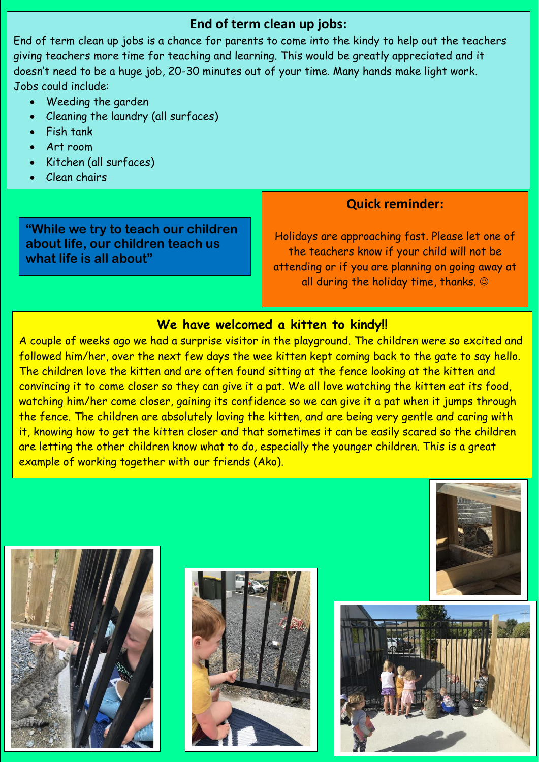## **End of term clean up jobs:**

End of term clean up jobs is a chance for parents to come into the kindy to help out the teachers giving teachers more time for teaching and learning. This would be greatly appreciated and it doesn't need to be a huge job, 20-30 minutes out of your time. Many hands make light work. Jobs could include:

- Weeding the garden
- Cleaning the laundry (all surfaces)
- Fish tank
- Art room
- Kitchen (all surfaces)

Wipe tables and shelves and shelves and shelves and shelves

Clean chairs

**"While we try to teach our children about life, our children teach us what life is all about"**

#### **Quick reminder:**

Holidays are approaching fast. Please let one of the teachers know if your child will not be attending or if you are planning on going away at all during the holiday time, thanks.  $\odot$ 

#### **We have welcomed a kitten to kindy!!**

A couple of weeks ago we had a surprise visitor in the playground. The children were so excited and followed him/her, over the next few days the wee kitten kept coming back to the gate to say hello. The children love the kitten and are often found sitting at the fence looking at the kitten and convincing it to come closer so they can give it a pat. We all love watching the kitten eat its food, watching him/her come closer, gaining its confidence so we can give it a pat when it jumps through the fence. The children are absolutely loving the kitten, and are being very gentle and caring with it, knowing how to get the kitten closer and that sometimes it can be easily scared so the children are letting the other children know what to do, especially the younger children. This is a great example of working together with our friends (Ako).